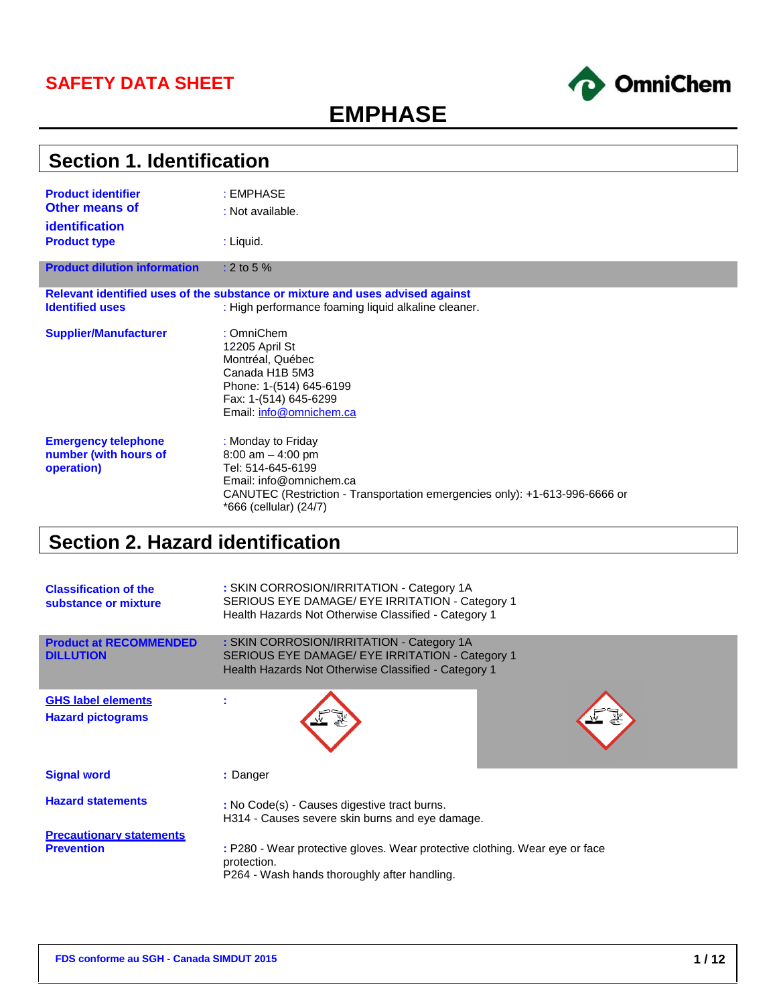## **SAFETY DATA SHEET**



# **EMPHASE**

| <b>Section 1. Identification</b>                                            |                                                                                                                                                                                                    |  |
|-----------------------------------------------------------------------------|----------------------------------------------------------------------------------------------------------------------------------------------------------------------------------------------------|--|
| <b>Product identifier</b><br><b>Other means of</b><br><b>identification</b> | : EMPHASE<br>: Not available.                                                                                                                                                                      |  |
| <b>Product type</b>                                                         | : Liquid.                                                                                                                                                                                          |  |
| <b>Product dilution information</b>                                         | $: 2$ to 5 %                                                                                                                                                                                       |  |
| <b>Identified uses</b>                                                      | Relevant identified uses of the substance or mixture and uses advised against<br>: High performance foaming liquid alkaline cleaner.                                                               |  |
| <b>Supplier/Manufacturer</b>                                                | : OmniChem<br>12205 April St<br>Montréal, Québec<br>Canada H1B 5M3<br>Phone: 1-(514) 645-6199<br>Fax: 1-(514) 645-6299<br>Email: info@omnichem.ca                                                  |  |
| <b>Emergency telephone</b><br>number (with hours of<br>operation)           | : Monday to Friday<br>8:00 am $-$ 4:00 pm<br>Tel: 514-645-6199<br>Email: info@omnichem.ca<br>CANUTEC (Restriction - Transportation emergencies only): +1-613-996-6666 or<br>*666 (cellular) (24/7) |  |

# **Section 2. Hazard identification**

| <b>Classification of the</b><br>substance or mixture | : SKIN CORROSION/IRRITATION - Category 1A<br>SERIOUS EYE DAMAGE/ EYE IRRITATION - Category 1<br>Health Hazards Not Otherwise Classified - Category 1 |
|------------------------------------------------------|------------------------------------------------------------------------------------------------------------------------------------------------------|
| <b>Product at RECOMMENDED</b><br><b>DILLUTION</b>    | : SKIN CORROSION/IRRITATION - Category 1A<br>SERIOUS EYE DAMAGE/ EYE IRRITATION - Category 1<br>Health Hazards Not Otherwise Classified - Category 1 |
| <b>GHS label elements</b>                            |                                                                                                                                                      |
| <b>Hazard pictograms</b>                             |                                                                                                                                                      |
| <b>Signal word</b>                                   | : Danger                                                                                                                                             |
| <b>Hazard statements</b>                             | : No Code(s) - Causes digestive tract burns.<br>H314 - Causes severe skin burns and eye damage.                                                      |
| <b>Precautionary statements</b>                      |                                                                                                                                                      |
| <b>Prevention</b>                                    | : P280 - Wear protective gloves. Wear protective clothing. Wear eye or face<br>protection.<br>P264 - Wash hands thoroughly after handling.           |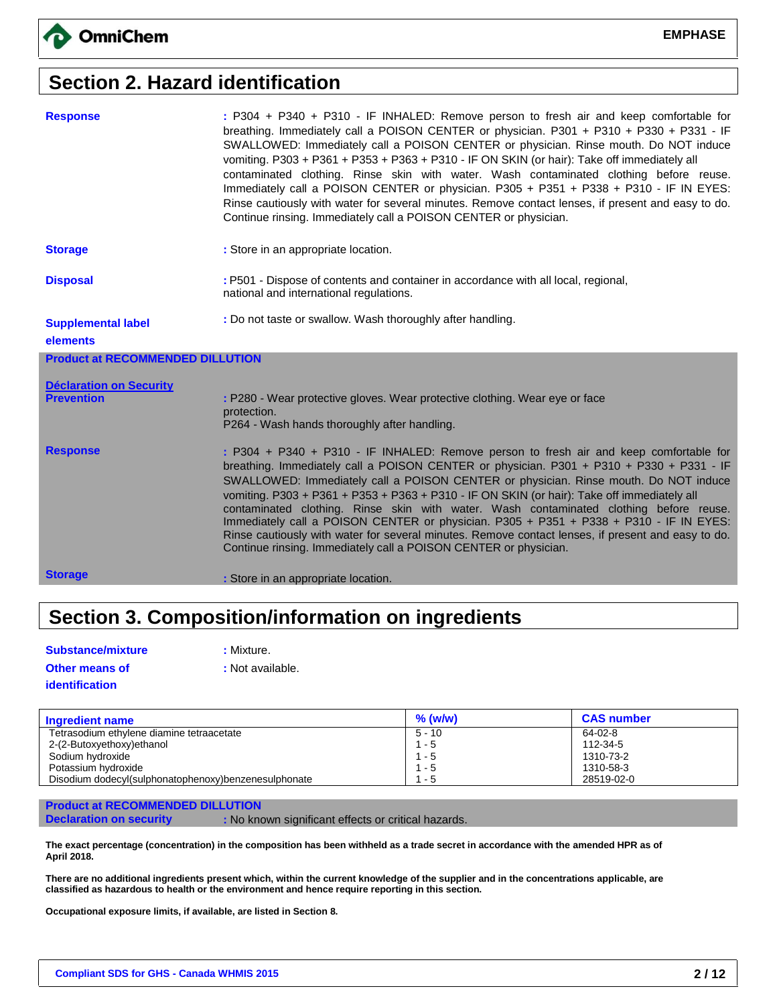## **Section 2. Hazard identification**

| <b>Response</b>                         | : P304 + P340 + P310 - IF INHALED: Remove person to fresh air and keep comfortable for<br>breathing. Immediately call a POISON CENTER or physician. P301 + P310 + P330 + P331 - IF<br>SWALLOWED: Immediately call a POISON CENTER or physician. Rinse mouth. Do NOT induce<br>vomiting. P303 + P361 + P353 + P363 + P310 - IF ON SKIN (or hair): Take off immediately all<br>contaminated clothing. Rinse skin with water. Wash contaminated clothing before reuse.<br>Immediately call a POISON CENTER or physician. P305 + P351 + P338 + P310 - IF IN EYES:<br>Rinse cautiously with water for several minutes. Remove contact lenses, if present and easy to do.<br>Continue rinsing. Immediately call a POISON CENTER or physician. |
|-----------------------------------------|-----------------------------------------------------------------------------------------------------------------------------------------------------------------------------------------------------------------------------------------------------------------------------------------------------------------------------------------------------------------------------------------------------------------------------------------------------------------------------------------------------------------------------------------------------------------------------------------------------------------------------------------------------------------------------------------------------------------------------------------|
| <b>Storage</b>                          | : Store in an appropriate location.                                                                                                                                                                                                                                                                                                                                                                                                                                                                                                                                                                                                                                                                                                     |
| <b>Disposal</b>                         | : P501 - Dispose of contents and container in accordance with all local, regional,<br>national and international regulations.                                                                                                                                                                                                                                                                                                                                                                                                                                                                                                                                                                                                           |
| <b>Supplemental label</b>               | : Do not taste or swallow. Wash thoroughly after handling.                                                                                                                                                                                                                                                                                                                                                                                                                                                                                                                                                                                                                                                                              |
| elements                                |                                                                                                                                                                                                                                                                                                                                                                                                                                                                                                                                                                                                                                                                                                                                         |
| <b>Product at RECOMMENDED DILLUTION</b> |                                                                                                                                                                                                                                                                                                                                                                                                                                                                                                                                                                                                                                                                                                                                         |
| <b>Déclaration on Security</b>          |                                                                                                                                                                                                                                                                                                                                                                                                                                                                                                                                                                                                                                                                                                                                         |
| <b>Prevention</b>                       | : P280 - Wear protective gloves. Wear protective clothing. Wear eye or face<br>protection.                                                                                                                                                                                                                                                                                                                                                                                                                                                                                                                                                                                                                                              |
|                                         | P264 - Wash hands thoroughly after handling.                                                                                                                                                                                                                                                                                                                                                                                                                                                                                                                                                                                                                                                                                            |
| <b>Response</b>                         | : P304 + P340 + P310 - IF INHALED: Remove person to fresh air and keep comfortable for<br>breathing. Immediately call a POISON CENTER or physician. P301 + P310 + P330 + P331 - IF<br>SWALLOWED: Immediately call a POISON CENTER or physician. Rinse mouth. Do NOT induce<br>vomiting. P303 + P361 + P353 + P363 + P310 - IF ON SKIN (or hair): Take off immediately all<br>contaminated clothing. Rinse skin with water. Wash contaminated clothing before reuse.<br>Immediately call a POISON CENTER or physician. P305 + P351 + P338 + P310 - IF IN EYES:<br>Rinse cautiously with water for several minutes. Remove contact lenses, if present and easy to do.<br>Continue rinsing. Immediately call a POISON CENTER or physician. |
| <b>Storage</b>                          | : Store in an appropriate location.                                                                                                                                                                                                                                                                                                                                                                                                                                                                                                                                                                                                                                                                                                     |

# **Section 3. Composition/information on ingredients**

| <b>Substance/mixture</b> | : Mixture.       |
|--------------------------|------------------|
| <b>Other means of</b>    | : Not available. |
| <i>identification</i>    |                  |

| <b>Ingredient name</b>                               | $%$ (w/w) | <b>CAS number</b> |
|------------------------------------------------------|-----------|-------------------|
| Tetrasodium ethylene diamine tetraacetate            | 5 - 10    | 64-02-8           |
| 2-(2-Butoxyethoxy)ethanol                            | $1 - 5$   | 112-34-5          |
| Sodium hydroxide                                     | $1 - 5$   | 1310-73-2         |
| Potassium hydroxide                                  | $1 - 5$   | 1310-58-3         |
| Disodium dodecyl(sulphonatophenoxy)benzenesulphonate | 1 - 5     | 28519-02-0        |

### **Product at RECOMMENDED DILLUTION**

**Declaration on security : No known significant effects or critical hazards.** 

**The exact percentage (concentration) in the composition has been withheld as a trade secret in accordance with the amended HPR as of April 2018.**

**There are no additional ingredients present which, within the current knowledge of the supplier and in the concentrations applicable, are classified as hazardous to health or the environment and hence require reporting in this section.**

**Occupational exposure limits, if available, are listed in Section 8.**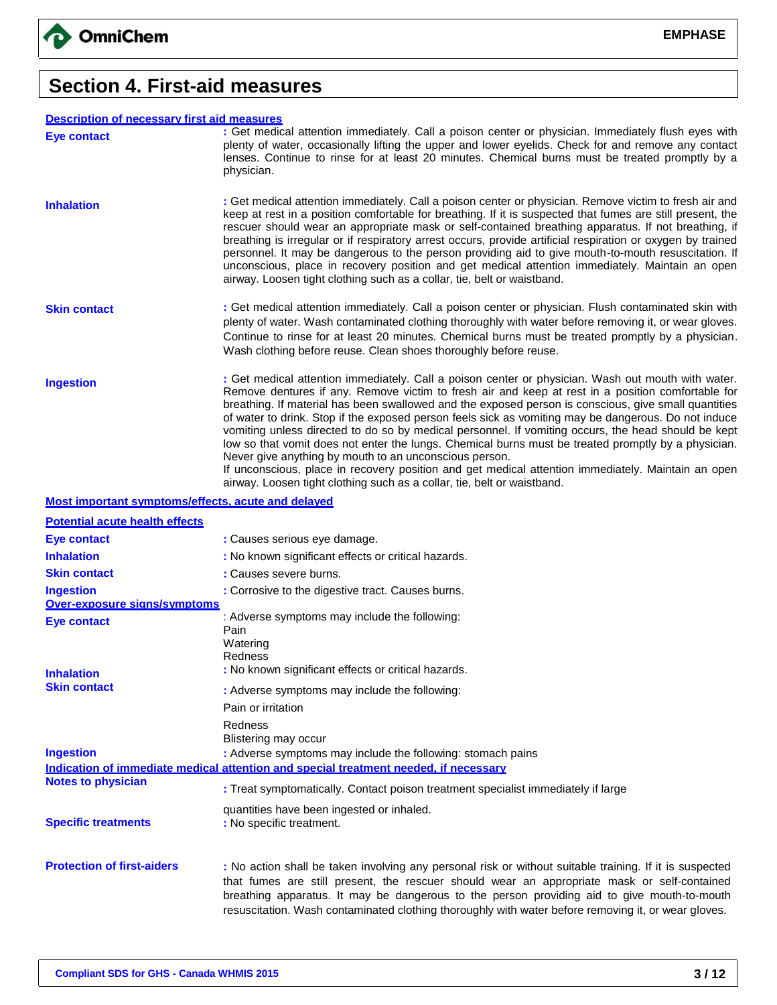

## **Section 4. First-aid measures**

#### **Description of necessary first aid measures**

| <b>Description of necessary first aid measures</b> |                                                                                                                                                                                                                                                                                                                                                                                                                                                                                                                                                                                                                                                                                                                                                                                                       |
|----------------------------------------------------|-------------------------------------------------------------------------------------------------------------------------------------------------------------------------------------------------------------------------------------------------------------------------------------------------------------------------------------------------------------------------------------------------------------------------------------------------------------------------------------------------------------------------------------------------------------------------------------------------------------------------------------------------------------------------------------------------------------------------------------------------------------------------------------------------------|
| Eye contact                                        | : Get medical attention immediately. Call a poison center or physician. Immediately flush eyes with<br>plenty of water, occasionally lifting the upper and lower eyelids. Check for and remove any contact<br>lenses. Continue to rinse for at least 20 minutes. Chemical burns must be treated promptly by a<br>physician.                                                                                                                                                                                                                                                                                                                                                                                                                                                                           |
| <b>Inhalation</b>                                  | : Get medical attention immediately. Call a poison center or physician. Remove victim to fresh air and<br>keep at rest in a position comfortable for breathing. If it is suspected that fumes are still present, the<br>rescuer should wear an appropriate mask or self-contained breathing apparatus. If not breathing, if<br>breathing is irregular or if respiratory arrest occurs, provide artificial respiration or oxygen by trained<br>personnel. It may be dangerous to the person providing aid to give mouth-to-mouth resuscitation. If<br>unconscious, place in recovery position and get medical attention immediately. Maintain an open<br>airway. Loosen tight clothing such as a collar, tie, belt or waistband.                                                                       |
| <b>Skin contact</b>                                | : Get medical attention immediately. Call a poison center or physician. Flush contaminated skin with<br>plenty of water. Wash contaminated clothing thoroughly with water before removing it, or wear gloves.<br>Continue to rinse for at least 20 minutes. Chemical burns must be treated promptly by a physician.<br>Wash clothing before reuse. Clean shoes thoroughly before reuse.                                                                                                                                                                                                                                                                                                                                                                                                               |
| <b>Ingestion</b>                                   | : Get medical attention immediately. Call a poison center or physician. Wash out mouth with water.<br>Remove dentures if any. Remove victim to fresh air and keep at rest in a position comfortable for<br>breathing. If material has been swallowed and the exposed person is conscious, give small quantities<br>of water to drink. Stop if the exposed person feels sick as vomiting may be dangerous. Do not induce<br>vomiting unless directed to do so by medical personnel. If vomiting occurs, the head should be kept<br>low so that vomit does not enter the lungs. Chemical burns must be treated promptly by a physician.<br>Never give anything by mouth to an unconscious person.<br>If unconscious, place in recovery position and get medical attention immediately. Maintain an open |

airway. Loosen tight clothing such as a collar, tie, belt or waistband.

#### **Most important symptoms/effects, acute and delayed**

| <b>Potential acute health effects</b> |                                                                                                                                                                                                                                                                                                                                                                                                              |
|---------------------------------------|--------------------------------------------------------------------------------------------------------------------------------------------------------------------------------------------------------------------------------------------------------------------------------------------------------------------------------------------------------------------------------------------------------------|
| <b>Eye contact</b>                    | : Causes serious eye damage.                                                                                                                                                                                                                                                                                                                                                                                 |
| <b>Inhalation</b>                     | : No known significant effects or critical hazards.                                                                                                                                                                                                                                                                                                                                                          |
| <b>Skin contact</b>                   | : Causes severe burns.                                                                                                                                                                                                                                                                                                                                                                                       |
| <b>Ingestion</b>                      | : Corrosive to the digestive tract. Causes burns.                                                                                                                                                                                                                                                                                                                                                            |
| <b>Over-exposure signs/symptoms</b>   |                                                                                                                                                                                                                                                                                                                                                                                                              |
| Eye contact                           | : Adverse symptoms may include the following:<br>Pain                                                                                                                                                                                                                                                                                                                                                        |
| <b>Inhalation</b>                     | Watering<br>Redness<br>: No known significant effects or critical hazards.                                                                                                                                                                                                                                                                                                                                   |
| <b>Skin contact</b>                   | : Adverse symptoms may include the following:                                                                                                                                                                                                                                                                                                                                                                |
|                                       | Pain or irritation                                                                                                                                                                                                                                                                                                                                                                                           |
|                                       | Redness<br>Blistering may occur                                                                                                                                                                                                                                                                                                                                                                              |
| <b>Ingestion</b>                      | : Adverse symptoms may include the following: stomach pains                                                                                                                                                                                                                                                                                                                                                  |
|                                       | Indication of immediate medical attention and special treatment needed, if necessary                                                                                                                                                                                                                                                                                                                         |
| <b>Notes to physician</b>             | : Treat symptomatically. Contact poison treatment specialist immediately if large                                                                                                                                                                                                                                                                                                                            |
| <b>Specific treatments</b>            | quantities have been ingested or inhaled.<br>: No specific treatment.                                                                                                                                                                                                                                                                                                                                        |
| <b>Protection of first-aiders</b>     | : No action shall be taken involving any personal risk or without suitable training. If it is suspected<br>that fumes are still present, the rescuer should wear an appropriate mask or self-contained<br>breathing apparatus. It may be dangerous to the person providing aid to give mouth-to-mouth<br>resuscitation. Wash contaminated clothing thoroughly with water before removing it, or wear gloves. |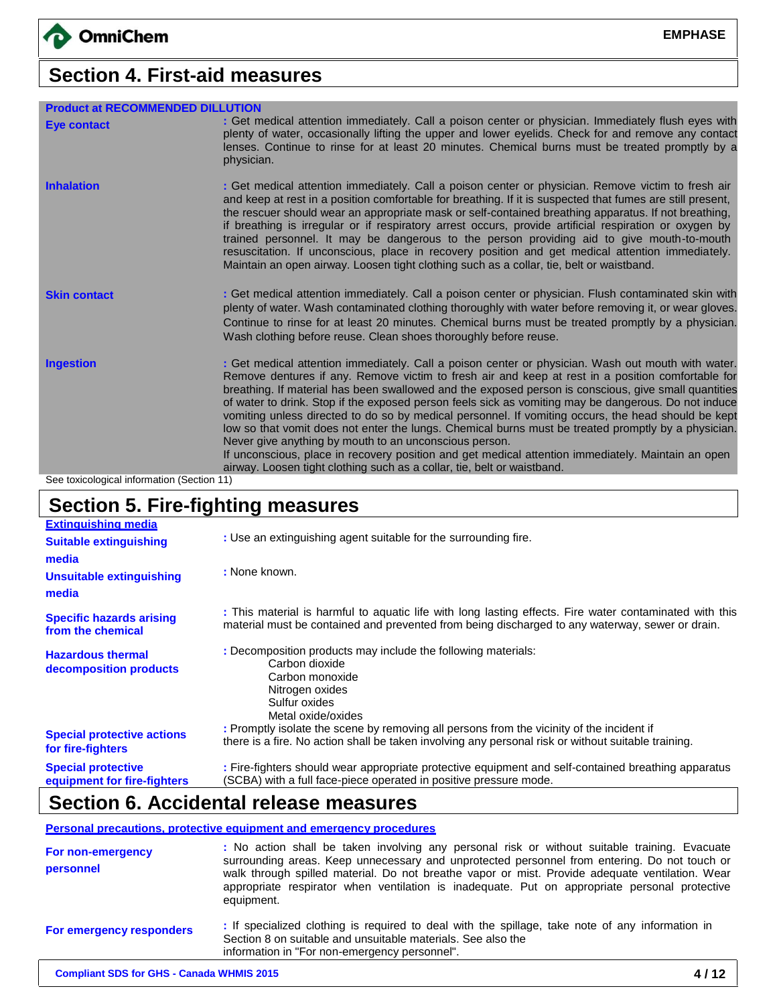# **Section 4. First-aid measures**

| <b>Product at RECOMMENDED DILLUTION</b> |                                                                                                                                                                                                                                                                                                                                                                                                                                                                                                                                                                                                                                                                                                                                                                                                                                                                                  |
|-----------------------------------------|----------------------------------------------------------------------------------------------------------------------------------------------------------------------------------------------------------------------------------------------------------------------------------------------------------------------------------------------------------------------------------------------------------------------------------------------------------------------------------------------------------------------------------------------------------------------------------------------------------------------------------------------------------------------------------------------------------------------------------------------------------------------------------------------------------------------------------------------------------------------------------|
| <b>Eye contact</b>                      | : Get medical attention immediately. Call a poison center or physician. Immediately flush eyes with<br>plenty of water, occasionally lifting the upper and lower eyelids. Check for and remove any contact<br>lenses. Continue to rinse for at least 20 minutes. Chemical burns must be treated promptly by a<br>physician.                                                                                                                                                                                                                                                                                                                                                                                                                                                                                                                                                      |
| <b>Inhalation</b>                       | : Get medical attention immediately. Call a poison center or physician. Remove victim to fresh air<br>and keep at rest in a position comfortable for breathing. If it is suspected that fumes are still present,<br>the rescuer should wear an appropriate mask or self-contained breathing apparatus. If not breathing,<br>if breathing is irregular or if respiratory arrest occurs, provide artificial respiration or oxygen by<br>trained personnel. It may be dangerous to the person providing aid to give mouth-to-mouth<br>resuscitation. If unconscious, place in recovery position and get medical attention immediately.<br>Maintain an open airway. Loosen tight clothing such as a collar, tie, belt or waistband.                                                                                                                                                  |
| <b>Skin contact</b>                     | : Get medical attention immediately. Call a poison center or physician. Flush contaminated skin with<br>plenty of water. Wash contaminated clothing thoroughly with water before removing it, or wear gloves.<br>Continue to rinse for at least 20 minutes. Chemical burns must be treated promptly by a physician.<br>Wash clothing before reuse. Clean shoes thoroughly before reuse.                                                                                                                                                                                                                                                                                                                                                                                                                                                                                          |
| <b>Ingestion</b>                        | : Get medical attention immediately. Call a poison center or physician. Wash out mouth with water.<br>Remove dentures if any. Remove victim to fresh air and keep at rest in a position comfortable for<br>breathing. If material has been swallowed and the exposed person is conscious, give small quantities<br>of water to drink. Stop if the exposed person feels sick as vomiting may be dangerous. Do not induce<br>vomiting unless directed to do so by medical personnel. If vomiting occurs, the head should be kept<br>low so that vomit does not enter the lungs. Chemical burns must be treated promptly by a physician.<br>Never give anything by mouth to an unconscious person.<br>If unconscious, place in recovery position and get medical attention immediately. Maintain an open<br>airway. Loosen tight clothing such as a collar, tie, belt or waistband. |

See toxicological information (Section 11)

# **Section 5. Fire-fighting measures**

| <b>Extinguishing media</b>                               |                                                                                                                                                                                                            |
|----------------------------------------------------------|------------------------------------------------------------------------------------------------------------------------------------------------------------------------------------------------------------|
| <b>Suitable extinguishing</b>                            | : Use an extinguishing agent suitable for the surrounding fire.                                                                                                                                            |
| media                                                    |                                                                                                                                                                                                            |
| <b>Unsuitable extinguishing</b><br>media                 | : None known.                                                                                                                                                                                              |
| <b>Specific hazards arising</b><br>from the chemical     | : This material is harmful to aquatic life with long lasting effects. Fire water contaminated with this<br>material must be contained and prevented from being discharged to any waterway, sewer or drain. |
| <b>Hazardous thermal</b><br>decomposition products       | : Decomposition products may include the following materials:<br>Carbon dioxide<br>Carbon monoxide<br>Nitrogen oxides<br>Sulfur oxides<br>Metal oxide/oxides                                               |
| <b>Special protective actions</b><br>for fire-fighters   | : Promptly isolate the scene by removing all persons from the vicinity of the incident if<br>there is a fire. No action shall be taken involving any personal risk or without suitable training.           |
| <b>Special protective</b><br>equipment for fire-fighters | : Fire-fighters should wear appropriate protective equipment and self-contained breathing apparatus<br>(SCBA) with a full face-piece operated in positive pressure mode.                                   |

## **Section 6. Accidental release measures**

#### **Personal precautions, protective equipment and emergency procedures**

| For non-emergency<br>personnel | : No action shall be taken involving any personal risk or without suitable training. Evacuate<br>surrounding areas. Keep unnecessary and unprotected personnel from entering. Do not touch or<br>walk through spilled material. Do not breathe vapor or mist. Provide adequate ventilation. Wear<br>appropriate respirator when ventilation is inadequate. Put on appropriate personal protective<br>equipment. |
|--------------------------------|-----------------------------------------------------------------------------------------------------------------------------------------------------------------------------------------------------------------------------------------------------------------------------------------------------------------------------------------------------------------------------------------------------------------|
| For emergency responders       | : If specialized clothing is required to deal with the spillage, take note of any information in<br>Section 8 on suitable and unsuitable materials. See also the<br>information in "For non-emergency personnel".                                                                                                                                                                                               |
|                                |                                                                                                                                                                                                                                                                                                                                                                                                                 |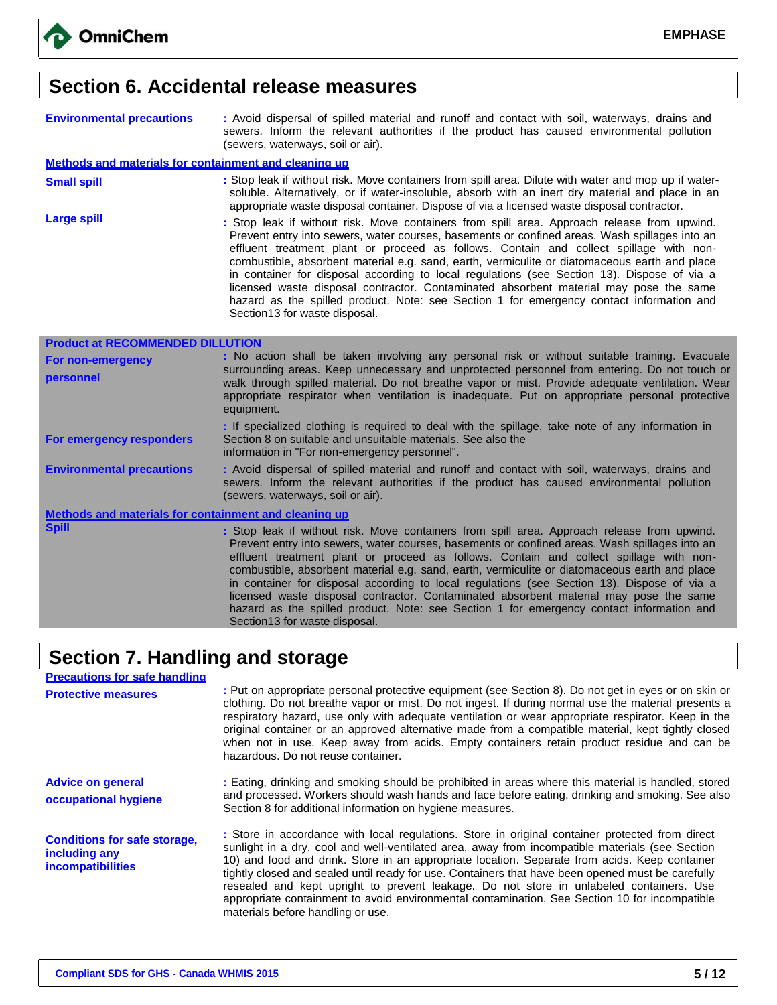

## **Section 6. Accidental release measures**

| <b>Environmental precautions</b>                      | : Avoid dispersal of spilled material and runoff and contact with soil, waterways, drains and<br>sewers. Inform the relevant authorities if the product has caused environmental pollution<br>(sewers, waterways, soil or air).                                                                                                                                                                                                                                                                                                                                                 |
|-------------------------------------------------------|---------------------------------------------------------------------------------------------------------------------------------------------------------------------------------------------------------------------------------------------------------------------------------------------------------------------------------------------------------------------------------------------------------------------------------------------------------------------------------------------------------------------------------------------------------------------------------|
| Methods and materials for containment and cleaning up |                                                                                                                                                                                                                                                                                                                                                                                                                                                                                                                                                                                 |
| <b>Small spill</b>                                    | : Stop leak if without risk. Move containers from spill area. Dilute with water and mop up if water-<br>soluble. Alternatively, or if water-insoluble, absorb with an inert dry material and place in an<br>appropriate waste disposal container. Dispose of via a licensed waste disposal contractor.                                                                                                                                                                                                                                                                          |
| <b>Large spill</b>                                    | : Stop leak if without risk. Move containers from spill area. Approach release from upwind.<br>Prevent entry into sewers, water courses, basements or confined areas. Wash spillages into an<br>effluent treatment plant or proceed as follows. Contain and collect spillage with non-<br>combustible, absorbent material e.g. sand, earth, vermiculite or diatomaceous earth and place<br>in container for disposal according to local regulations (see Section 13). Dispose of via a<br>licensed waste disposal contractor. Contaminated absorbent material may pose the same |

Section13 for waste disposal.

Section13 for waste disposal.

hazard as the spilled product. Note: see Section 1 for emergency contact information and

| <b>Product at RECOMMENDED DILLUTION</b>                      |                                                                                                                                                                                                                                                                                                                                                                                                                                                                                                                                                                                                                                                                             |
|--------------------------------------------------------------|-----------------------------------------------------------------------------------------------------------------------------------------------------------------------------------------------------------------------------------------------------------------------------------------------------------------------------------------------------------------------------------------------------------------------------------------------------------------------------------------------------------------------------------------------------------------------------------------------------------------------------------------------------------------------------|
| For non-emergency<br>personnel                               | : No action shall be taken involving any personal risk or without suitable training. Evacuate<br>surrounding areas. Keep unnecessary and unprotected personnel from entering. Do not touch or<br>walk through spilled material. Do not breathe vapor or mist. Provide adequate ventilation. Wear<br>appropriate respirator when ventilation is inadequate. Put on appropriate personal protective<br>equipment.                                                                                                                                                                                                                                                             |
| For emergency responders                                     | : If specialized clothing is required to deal with the spillage, take note of any information in<br>Section 8 on suitable and unsuitable materials. See also the<br>information in "For non-emergency personnel".                                                                                                                                                                                                                                                                                                                                                                                                                                                           |
| <b>Environmental precautions</b>                             | : Avoid dispersal of spilled material and runoff and contact with soil, waterways, drains and<br>sewers. Inform the relevant authorities if the product has caused environmental pollution<br>(sewers, waterways, soil or air).                                                                                                                                                                                                                                                                                                                                                                                                                                             |
| <b>Methods and materials for containment and cleaning up</b> |                                                                                                                                                                                                                                                                                                                                                                                                                                                                                                                                                                                                                                                                             |
| <b>Spill</b>                                                 | : Stop leak if without risk. Move containers from spill area. Approach release from upwind.<br>Prevent entry into sewers, water courses, basements or confined areas. Wash spillages into an<br>effluent treatment plant or proceed as follows. Contain and collect spillage with non-<br>combustible, absorbent material e.g. sand, earth, vermiculite or diatomaceous earth and place<br>in container for disposal according to local regulations (see Section 13). Dispose of via a<br>licensed waste disposal contractor. Contaminated absorbent material may pose the same<br>hazard as the spilled product. Note: see Section 1 for emergency contact information and |

# **Section 7. Handling and storage**

| <b>Precautions for safe handling</b>                                             |                                                                                                                                                                                                                                                                                                                                                                                                                                                                                                                                                                                                                                           |
|----------------------------------------------------------------------------------|-------------------------------------------------------------------------------------------------------------------------------------------------------------------------------------------------------------------------------------------------------------------------------------------------------------------------------------------------------------------------------------------------------------------------------------------------------------------------------------------------------------------------------------------------------------------------------------------------------------------------------------------|
| <b>Protective measures</b>                                                       | : Put on appropriate personal protective equipment (see Section 8). Do not get in eyes or on skin or<br>clothing. Do not breathe vapor or mist. Do not ingest. If during normal use the material presents a<br>respiratory hazard, use only with adequate ventilation or wear appropriate respirator. Keep in the<br>original container or an approved alternative made from a compatible material, kept tightly closed<br>when not in use. Keep away from acids. Empty containers retain product residue and can be<br>hazardous. Do not reuse container.                                                                                |
| <b>Advice on general</b><br>occupational hygiene                                 | : Eating, drinking and smoking should be prohibited in areas where this material is handled, stored<br>and processed. Workers should wash hands and face before eating, drinking and smoking. See also<br>Section 8 for additional information on hygiene measures.                                                                                                                                                                                                                                                                                                                                                                       |
| <b>Conditions for safe storage,</b><br>including any<br><i>incompatibilities</i> | : Store in accordance with local regulations. Store in original container protected from direct<br>sunlight in a dry, cool and well-ventilated area, away from incompatible materials (see Section<br>10) and food and drink. Store in an appropriate location. Separate from acids. Keep container<br>tightly closed and sealed until ready for use. Containers that have been opened must be carefully<br>resealed and kept upright to prevent leakage. Do not store in unlabeled containers. Use<br>appropriate containment to avoid environmental contamination. See Section 10 for incompatible<br>materials before handling or use. |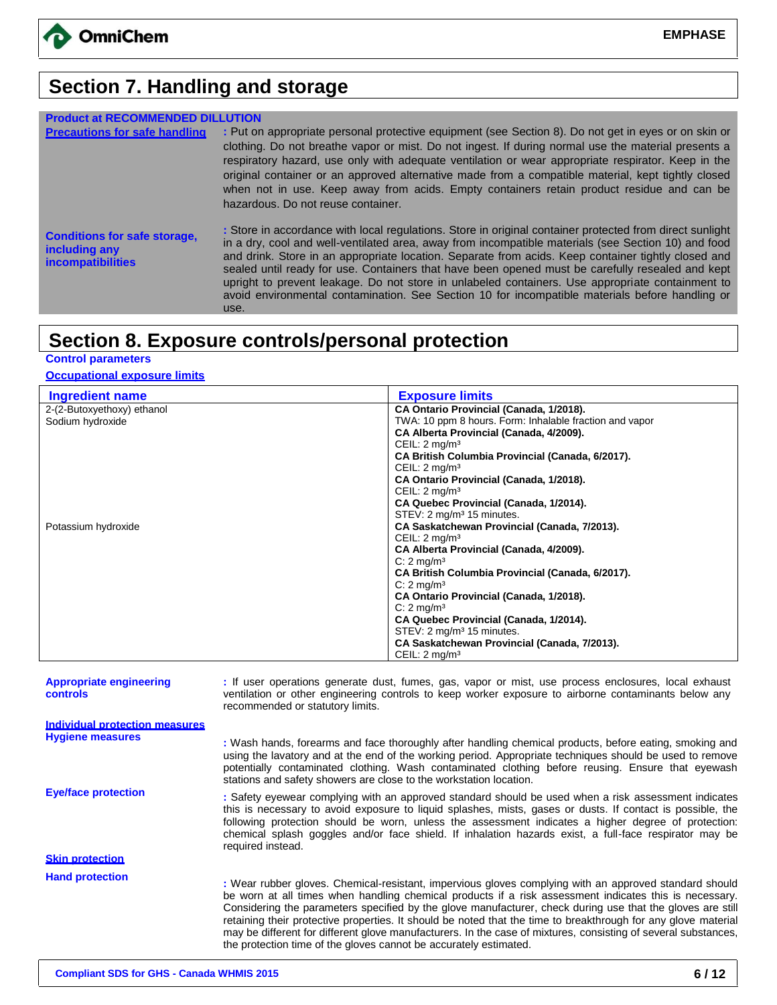

## **Section 7. Handling and storage**

| <b>Product at RECOMMENDED DILLUTION</b>                                          |                                                                                                                                                                                                                                                                                                                                                                                                                                                                                                                                                                                                                                           |
|----------------------------------------------------------------------------------|-------------------------------------------------------------------------------------------------------------------------------------------------------------------------------------------------------------------------------------------------------------------------------------------------------------------------------------------------------------------------------------------------------------------------------------------------------------------------------------------------------------------------------------------------------------------------------------------------------------------------------------------|
| <b>Precautions for safe handling</b>                                             | : Put on appropriate personal protective equipment (see Section 8). Do not get in eyes or on skin or<br>clothing. Do not breathe vapor or mist. Do not ingest. If during normal use the material presents a<br>respiratory hazard, use only with adequate ventilation or wear appropriate respirator. Keep in the<br>original container or an approved alternative made from a compatible material, kept tightly closed<br>when not in use. Keep away from acids. Empty containers retain product residue and can be<br>hazardous. Do not reuse container.                                                                                |
| <b>Conditions for safe storage,</b><br>including any<br><i>incompatibilities</i> | : Store in accordance with local regulations. Store in original container protected from direct sunlight<br>in a dry, cool and well-ventilated area, away from incompatible materials (see Section 10) and food<br>and drink. Store in an appropriate location. Separate from acids. Keep container tightly closed and<br>sealed until ready for use. Containers that have been opened must be carefully resealed and kept<br>upright to prevent leakage. Do not store in unlabeled containers. Use appropriate containment to<br>avoid environmental contamination. See Section 10 for incompatible materials before handling or<br>use. |

## **Section 8. Exposure controls/personal protection**

**Control parameters**

#### **Occupational exposure limits**

| <b>Ingredient name</b>     | <b>Exposure limits</b>                                  |
|----------------------------|---------------------------------------------------------|
| 2-(2-Butoxyethoxy) ethanol | CA Ontario Provincial (Canada, 1/2018).                 |
| Sodium hydroxide           | TWA: 10 ppm 8 hours. Form: Inhalable fraction and vapor |
|                            | CA Alberta Provincial (Canada, 4/2009).                 |
|                            | CEIL: $2 \text{mq/m}^3$                                 |
|                            | CA British Columbia Provincial (Canada, 6/2017).        |
|                            | CEIL: $2 \text{mq/m}^3$                                 |
|                            | CA Ontario Provincial (Canada, 1/2018).                 |
|                            | CEIL: $2 \text{mq/m}^3$                                 |
|                            | CA Quebec Provincial (Canada, 1/2014).                  |
|                            | STEV: 2 mg/m <sup>3</sup> 15 minutes.                   |
| Potassium hydroxide        | CA Saskatchewan Provincial (Canada, 7/2013).            |
|                            | CEIL: $2 \text{mq/m}^3$                                 |
|                            | CA Alberta Provincial (Canada, 4/2009).                 |
|                            | $C: 2$ mg/m <sup>3</sup>                                |
|                            | CA British Columbia Provincial (Canada, 6/2017).        |
|                            | $C: 2$ mg/m <sup>3</sup>                                |
|                            | CA Ontario Provincial (Canada, 1/2018).                 |
|                            | $C: 2$ mg/m <sup>3</sup>                                |
|                            | CA Quebec Provincial (Canada, 1/2014).                  |
|                            | STEV: 2 mg/m <sup>3</sup> 15 minutes.                   |
|                            | CA Saskatchewan Provincial (Canada, 7/2013).            |
|                            | CEIL: $2 \text{mq/m}^3$                                 |

**Appropriate engineering controls :** If user operations generate dust, fumes, gas, vapor or mist, use process enclosures, local exhaust ventilation or other engineering controls to keep worker exposure to airborne contaminants below any recommended or statutory limits. **Individual protection measures Hygiene measures :** Wash hands, forearms and face thoroughly after handling chemical products, before eating, smoking and using the lavatory and at the end of the working period. Appropriate techniques should be used to remove potentially contaminated clothing. Wash contaminated clothing before reusing. Ensure that eyewash stations and safety showers are close to the workstation location. **Eye/face protection :** Safety eyewear complying with an approved standard should be used when a risk assessment indicates this is necessary to avoid exposure to liquid splashes, mists, gases or dusts. If contact is possible, the following protection should be worn, unless the assessment indicates a higher degree of protection: chemical splash goggles and/or face shield. If inhalation hazards exist, a full-face respirator may be required instead. **Skin protection Hand protection :** Wear rubber gloves. Chemical-resistant, impervious gloves complying with an approved standard should be worn at all times when handling chemical products if a risk assessment indicates this is necessary. Considering the parameters specified by the glove manufacturer, check during use that the gloves are still retaining their protective properties. It should be noted that the time to breakthrough for any glove material may be different for different glove manufacturers. In the case of mixtures, consisting of several substances, the protection time of the gloves cannot be accurately estimated.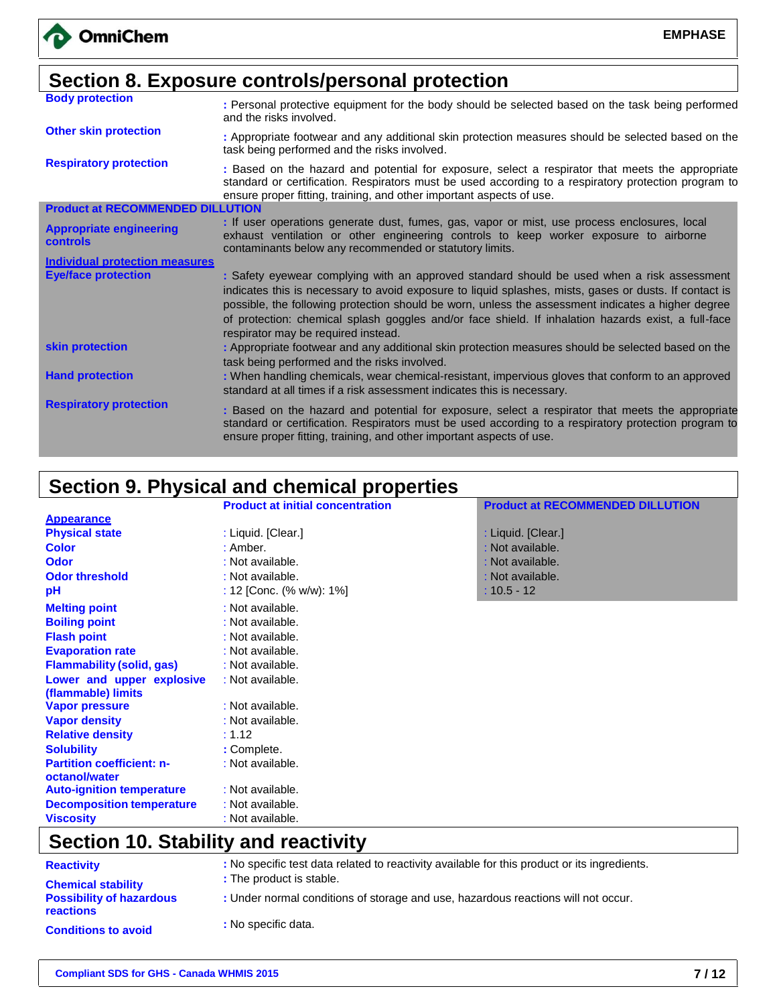|                                                   | Section 8. Exposure controls/personal protection                                                                                                                                                                                                                                                                                                                                                                                                         |
|---------------------------------------------------|----------------------------------------------------------------------------------------------------------------------------------------------------------------------------------------------------------------------------------------------------------------------------------------------------------------------------------------------------------------------------------------------------------------------------------------------------------|
| <b>Body protection</b>                            | : Personal protective equipment for the body should be selected based on the task being performed<br>and the risks involved.                                                                                                                                                                                                                                                                                                                             |
| <b>Other skin protection</b>                      | : Appropriate footwear and any additional skin protection measures should be selected based on the<br>task being performed and the risks involved.                                                                                                                                                                                                                                                                                                       |
| <b>Respiratory protection</b>                     | : Based on the hazard and potential for exposure, select a respirator that meets the appropriate<br>standard or certification. Respirators must be used according to a respiratory protection program to<br>ensure proper fitting, training, and other important aspects of use.                                                                                                                                                                         |
| <b>Product at RECOMMENDED DILLUTION</b>           |                                                                                                                                                                                                                                                                                                                                                                                                                                                          |
| <b>Appropriate engineering</b><br><b>controls</b> | : If user operations generate dust, fumes, gas, vapor or mist, use process enclosures, local<br>exhaust ventilation or other engineering controls to keep worker exposure to airborne<br>contaminants below any recommended or statutory limits.                                                                                                                                                                                                         |
| <b>Individual protection measures</b>             |                                                                                                                                                                                                                                                                                                                                                                                                                                                          |
| <b>Eye/face protection</b>                        | : Safety eyewear complying with an approved standard should be used when a risk assessment<br>indicates this is necessary to avoid exposure to liquid splashes, mists, gases or dusts. If contact is<br>possible, the following protection should be worn, unless the assessment indicates a higher degree<br>of protection: chemical splash goggles and/or face shield. If inhalation hazards exist, a full-face<br>respirator may be required instead. |
| skin protection                                   | : Appropriate footwear and any additional skin protection measures should be selected based on the<br>task being performed and the risks involved.                                                                                                                                                                                                                                                                                                       |
| <b>Hand protection</b>                            | : When handling chemicals, wear chemical-resistant, impervious gloves that conform to an approved<br>standard at all times if a risk assessment indicates this is necessary.                                                                                                                                                                                                                                                                             |
| <b>Respiratory protection</b>                     | : Based on the hazard and potential for exposure, select a respirator that meets the appropriate<br>standard or certification. Respirators must be used according to a respiratory protection program to<br>ensure proper fitting, training, and other important aspects of use.                                                                                                                                                                         |

# **Section 9. Physical and chemical properties**

|                                  | <b>Product at initial concentration</b> | <b>Product at RECOMMENDED DILLUTION</b> |
|----------------------------------|-----------------------------------------|-----------------------------------------|
| <b>Appearance</b>                |                                         |                                         |
| <b>Physical state</b>            | : Liquid. [Clear.]                      | : Liquid. [Clear.]                      |
| <b>Color</b>                     | : Amber.                                | : Not available.                        |
| <b>Odor</b>                      | : Not available.                        | : Not available.                        |
| <b>Odor threshold</b>            | : Not available.                        | : Not available.                        |
| рH                               | : 12 [Conc. (% w/w): 1%]                | $: 10.5 - 12$                           |
| <b>Melting point</b>             | : Not available.                        |                                         |
| <b>Boiling point</b>             | : Not available.                        |                                         |
| <b>Flash point</b>               | : Not available.                        |                                         |
| <b>Evaporation rate</b>          | : Not available.                        |                                         |
| <b>Flammability (solid, gas)</b> | : Not available.                        |                                         |
| Lower and upper explosive        | : Not available.                        |                                         |
| (flammable) limits               |                                         |                                         |
| <b>Vapor pressure</b>            | : Not available.                        |                                         |
| <b>Vapor density</b>             | : Not available.                        |                                         |
| <b>Relative density</b>          | : 1.12                                  |                                         |
| <b>Solubility</b>                | : Complete.                             |                                         |
| <b>Partition coefficient: n-</b> | : Not available.                        |                                         |
| octanol/water                    |                                         |                                         |
| <b>Auto-ignition temperature</b> | : Not available.                        |                                         |
| <b>Decomposition temperature</b> | : Not available.                        |                                         |
| <b>Viscosity</b>                 | : Not available.                        |                                         |

# **Section 10. Stability and reactivity**

| <b>Reactivity</b>                                   | : No specific test data related to reactivity available for this product or its ingredients. |
|-----------------------------------------------------|----------------------------------------------------------------------------------------------|
| <b>Chemical stability</b>                           | : The product is stable.                                                                     |
| <b>Possibility of hazardous</b><br><b>reactions</b> | : Under normal conditions of storage and use, hazardous reactions will not occur.            |
| <b>Conditions to avoid</b>                          | : No specific data.                                                                          |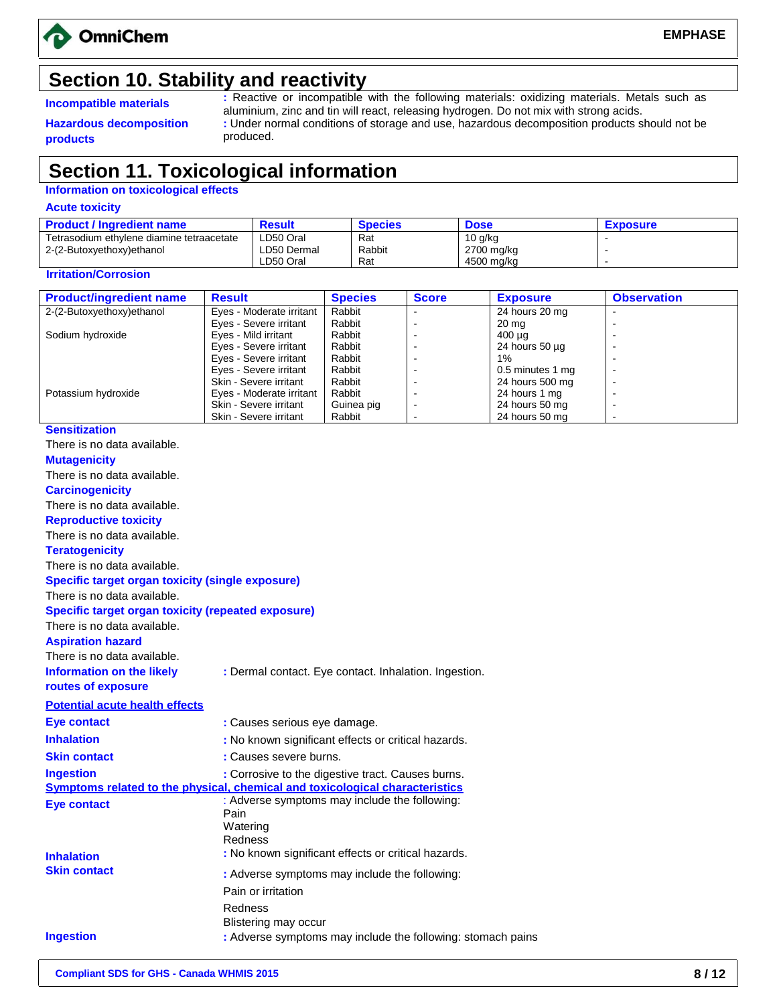

## **Section 10. Stability and reactivity**

**Hazardous decomposition products**

**Incompatible materials :** Reactive or incompatible with the following materials: oxidizing materials. Metals such as aluminium, zinc and tin will react, releasing hydrogen. Do not mix with strong acids. **:** Under normal conditions of storage and use, hazardous decomposition products should not be produced.

## **Section 11. Toxicological information**

#### **Information on toxicological effects**

**Acute toxicity**

| <b>Product / Ingredient name</b>          | Result      | <b>Species</b> | <b>Dose</b> | <b>Exposure</b> |
|-------------------------------------------|-------------|----------------|-------------|-----------------|
| Tetrasodium ethylene diamine tetraacetate | ∟D50 Oral   | Rat            | $10$ g/kg   |                 |
| 2-(2-Butoxyethoxy)ethanol                 | LD50 Dermal | Rabbit         | 2700 mg/kg  |                 |
|                                           | ∟D50 Oral   | Rat            | 4500 mg/kg  |                 |

#### **Irritation/Corrosion**

| <b>Product/ingredient name</b> | <b>Result</b>            | <b>Species</b> | <b>Score</b> | <b>Exposure</b>     | <b>Observation</b>       |
|--------------------------------|--------------------------|----------------|--------------|---------------------|--------------------------|
| 2-(2-Butoxyethoxy)ethanol      | Eyes - Moderate irritant | Rabbit         |              | 24 hours 20 mg      |                          |
|                                | Eyes - Severe irritant   | Rabbit         |              | 20 mg               | -                        |
| Sodium hydroxide               | Eyes - Mild irritant     | Rabbit         |              | 400 µg              |                          |
|                                | Eyes - Severe irritant   | Rabbit         |              | 24 hours $50 \mu q$ | $\overline{\phantom{0}}$ |
|                                | Eyes - Severe irritant   | Rabbit         |              | $1\%$               |                          |
|                                | Eyes - Severe irritant   | Rabbit         |              | 0.5 minutes 1 mg    | $\overline{\phantom{0}}$ |
|                                | Skin - Severe irritant   | Rabbit         |              | 24 hours 500 mg     |                          |
| Potassium hydroxide            | Eyes - Moderate irritant | Rabbit         |              | 24 hours 1 mg       | $\overline{\phantom{0}}$ |
|                                | Skin - Severe irritant   | Guinea pig     | -            | 24 hours 50 mg      | -                        |
|                                | Skin - Severe irritant   | Rabbit         |              | 24 hours 50 mg      |                          |

#### **Sensitization** There is no data available. **Mutagenicity** There is no data available. **Carcinogenicity** There is no data available. **Reproductive toxicity** There is no data available. **Teratogenicity** There is no data available. **Specific target organ toxicity (single exposure)** There is no data available. **Specific target organ toxicity (repeated exposure)** There is no data available. **Aspiration hazard** There is no data available. **Information on the likely routes of exposure :** Dermal contact. Eye contact. Inhalation. Ingestion. **Potential acute health effects Eye contact Inhalation Skin contact Ingestion :** Causes serious eye damage. **:** No known significant effects or critical hazards. **:** Causes severe burns. **:** Corrosive to the digestive tract. Causes burns. **Symptoms related to the physical, chemical and toxicological characteristics Eye contact** : Adverse symptoms may include the following: Pain **Watering** Redness **Inhalation :** No known significant effects or critical hazards. **Skin contact : BRICE :** Adverse symptoms may include the following: Pain or irritation Redness Blistering may occur **Ingestion : Adverse symptoms may include the following: stomach pains**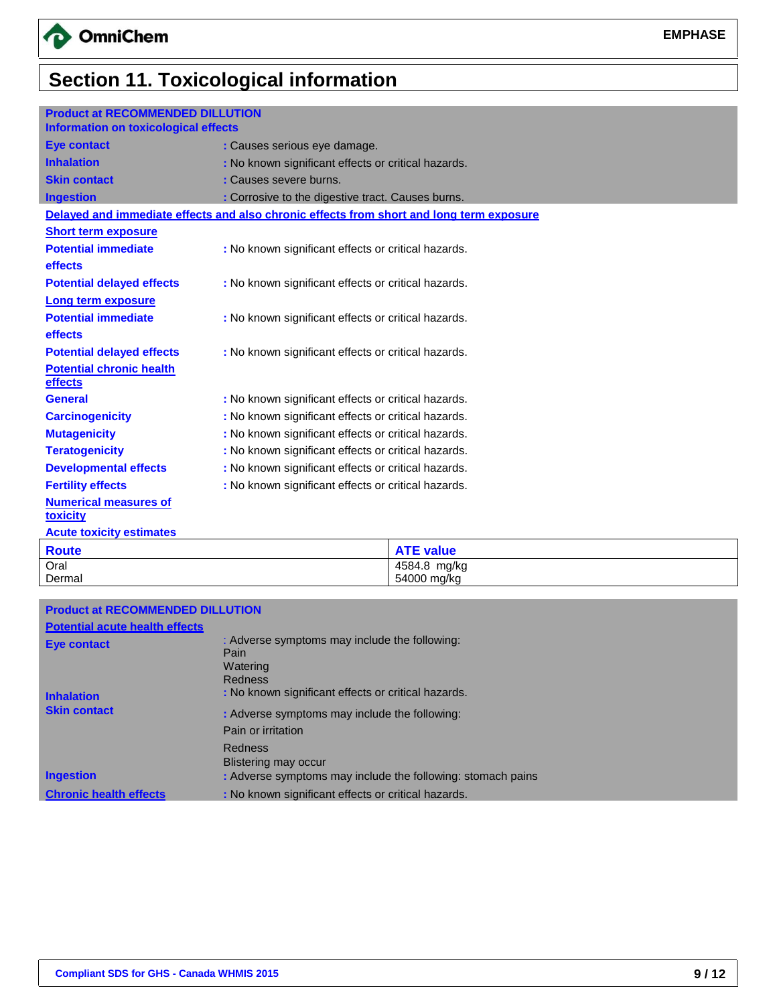# **Section 11. Toxicological information**

| <b>Product at RECOMMENDED DILLUTION</b><br><b>Information on toxicological effects</b> |                                                                                          |
|----------------------------------------------------------------------------------------|------------------------------------------------------------------------------------------|
| <b>Eye contact</b>                                                                     | : Causes serious eye damage.                                                             |
| <b>Inhalation</b>                                                                      | : No known significant effects or critical hazards.                                      |
| <b>Skin contact</b>                                                                    | : Causes severe burns.                                                                   |
| <b>Ingestion</b>                                                                       | : Corrosive to the digestive tract. Causes burns.                                        |
|                                                                                        | Delayed and immediate effects and also chronic effects from short and long term exposure |
| <b>Short term exposure</b>                                                             |                                                                                          |
| <b>Potential immediate</b>                                                             | : No known significant effects or critical hazards.                                      |
| effects                                                                                |                                                                                          |
| <b>Potential delayed effects</b>                                                       | : No known significant effects or critical hazards.                                      |
| <b>Long term exposure</b>                                                              |                                                                                          |
| <b>Potential immediate</b>                                                             | : No known significant effects or critical hazards.                                      |
| effects                                                                                |                                                                                          |
| <b>Potential delayed effects</b>                                                       | : No known significant effects or critical hazards.                                      |
| <b>Potential chronic health</b><br>effects                                             |                                                                                          |
| <b>General</b>                                                                         | : No known significant effects or critical hazards.                                      |
| <b>Carcinogenicity</b>                                                                 | : No known significant effects or critical hazards.                                      |
| <b>Mutagenicity</b>                                                                    | : No known significant effects or critical hazards.                                      |
| <b>Teratogenicity</b>                                                                  | : No known significant effects or critical hazards.                                      |
| <b>Developmental effects</b>                                                           | : No known significant effects or critical hazards.                                      |
| <b>Fertility effects</b>                                                               | : No known significant effects or critical hazards.                                      |
| <b>Numerical measures of</b><br><b>toxicity</b>                                        |                                                                                          |
| <b>Acute toxicity estimates</b>                                                        |                                                                                          |

| <b>Route</b> | <b>ATE value</b> |
|--------------|------------------|
| Oral         | 4584.8<br>mg/kg  |
| Dermal       | 54000 mg/kg      |

| <b>Product at RECOMMENDED DILLUTION</b> |                                                             |
|-----------------------------------------|-------------------------------------------------------------|
| <b>Potential acute health effects</b>   |                                                             |
| <b>Eye contact</b>                      | : Adverse symptoms may include the following:               |
|                                         | Pain                                                        |
|                                         | Watering                                                    |
|                                         | <b>Redness</b>                                              |
| <b>Inhalation</b>                       | : No known significant effects or critical hazards.         |
| <b>Skin contact</b>                     | : Adverse symptoms may include the following:               |
|                                         | Pain or irritation                                          |
|                                         | Redness                                                     |
|                                         | Blistering may occur                                        |
| <b>Ingestion</b>                        | : Adverse symptoms may include the following: stomach pains |
| <b>Chronic health effects</b>           | : No known significant effects or critical hazards.         |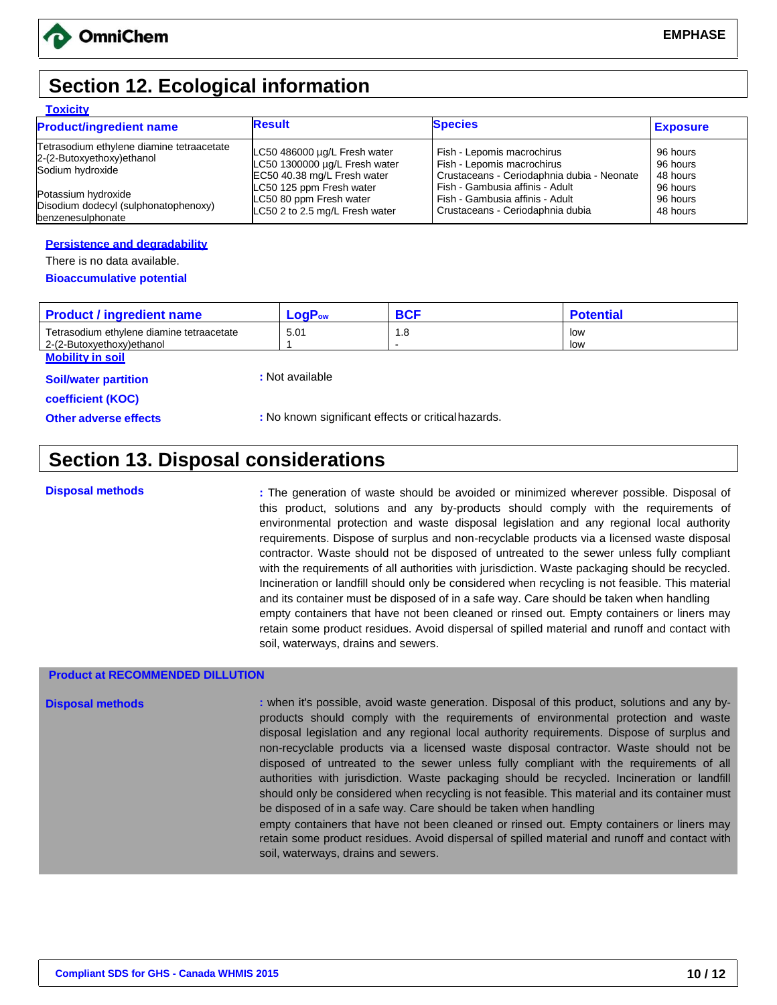## **Section 12. Ecological information**

#### **Toxicity**

| <b>Product/ingredient name</b>            | <b>Result</b>                  | <b>Species</b>                             | <b>Exposure</b> |
|-------------------------------------------|--------------------------------|--------------------------------------------|-----------------|
| Tetrasodium ethylene diamine tetraacetate | LC50 486000 µg/L Fresh water   | Fish - Lepomis macrochirus                 | 96 hours        |
| 2-(2-Butoxyethoxy)ethanol                 | LC50 1300000 µg/L Fresh water  | Fish - Lepomis macrochirus                 | 96 hours        |
| Sodium hydroxide                          | EC50 40.38 mg/L Fresh water    | Crustaceans - Ceriodaphnia dubia - Neonate | 48 hours        |
| Potassium hydroxide                       | LC50 125 ppm Fresh water       | Fish - Gambusia affinis - Adult            | 96 hours        |
| Disodium dodecyl (sulphonatophenoxy)      | LC50 80 ppm Fresh water        | Fish - Gambusia affinis - Adult            | 96 hours        |
| benzenesulphonate                         | LC50 2 to 2.5 mg/L Fresh water | Crustaceans - Ceriodaphnia dubia           | 48 hours        |

#### **Persistence and degradability**

There is no data available.

#### **Bioaccumulative potential**

| <b>Product / ingredient name</b>          | ogP<br>Fow |     | Potentia |
|-------------------------------------------|------------|-----|----------|
| Tetrasodium ethylene diamine tetraacetate | 5.01       | 1.8 | low      |
| 2-(2-Butoxvethoxv)ethanol                 |            |     | low      |

**Mobility in soil**

**Soil/water partition** 

**:** Not available

**coefficient (KOC)**

**Other adverse effects by Eq. 3. In the control of the control of the critical set of critical hazards.** 

## **Section 13. Disposal considerations**

**Disposal methods :** The generation of waste should be avoided or minimized wherever possible. Disposal of this product, solutions and any by-products should comply with the requirements of environmental protection and waste disposal legislation and any regional local authority requirements. Dispose of surplus and non-recyclable products via a licensed waste disposal contractor. Waste should not be disposed of untreated to the sewer unless fully compliant with the requirements of all authorities with jurisdiction. Waste packaging should be recycled. Incineration or landfill should only be considered when recycling is not feasible. This material and its container must be disposed of in a safe way. Care should be taken when handling empty containers that have not been cleaned or rinsed out. Empty containers or liners may retain some product residues. Avoid dispersal of spilled material and runoff and contact with soil, waterways, drains and sewers.

#### **Product at RECOMMENDED DILLUTION**

**Disposal methods** *i* **when it's possible, avoid waste generation. Disposal of this product, solutions and any by**products should comply with the requirements of environmental protection and waste disposal legislation and any regional local authority requirements. Dispose of surplus and non-recyclable products via a licensed waste disposal contractor. Waste should not be disposed of untreated to the sewer unless fully compliant with the requirements of all authorities with jurisdiction. Waste packaging should be recycled. Incineration or landfill should only be considered when recycling is not feasible. This material and its container must be disposed of in a safe way. Care should be taken when handling

empty containers that have not been cleaned or rinsed out. Empty containers or liners may retain some product residues. Avoid dispersal of spilled material and runoff and contact with soil, waterways, drains and sewers.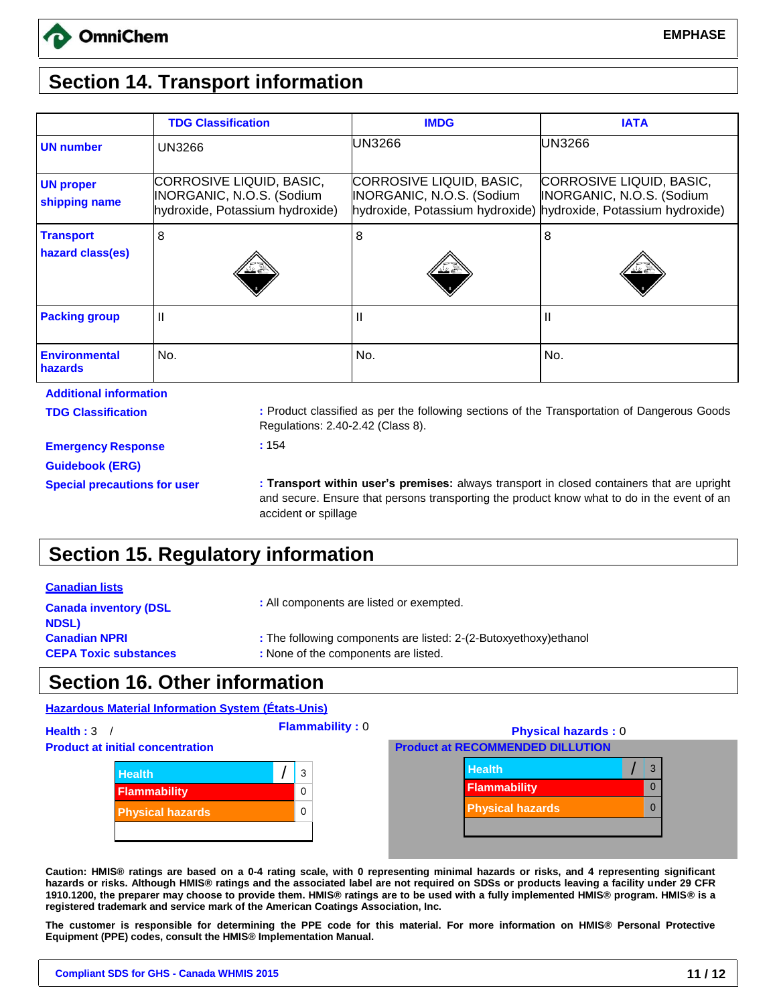## **Section 14. Transport information**

|                                      | <b>TDG Classification</b>                                                                | <b>IMDG</b>                                                                              | <b>IATA</b>                                                                              |
|--------------------------------------|------------------------------------------------------------------------------------------|------------------------------------------------------------------------------------------|------------------------------------------------------------------------------------------|
| <b>UN number</b>                     | <b>UN3266</b>                                                                            | UN3266                                                                                   | <b>UN3266</b>                                                                            |
| <b>UN proper</b><br>shipping name    | CORROSIVE LIQUID, BASIC,<br>INORGANIC, N.O.S. (Sodium<br>hydroxide, Potassium hydroxide) | CORROSIVE LIQUID, BASIC,<br>INORGANIC, N.O.S. (Sodium<br>hydroxide, Potassium hydroxide) | CORROSIVE LIQUID, BASIC,<br>INORGANIC, N.O.S. (Sodium<br>hydroxide, Potassium hydroxide) |
| <b>Transport</b><br>hazard class(es) | 8                                                                                        | 8<br>∌ گ'                                                                                | 8<br>≚≚                                                                                  |
| <b>Packing group</b>                 | $\mathsf{I}$                                                                             | Ш                                                                                        | Ш                                                                                        |
| <b>Environmental</b><br>hazards      | No.                                                                                      | No.                                                                                      | No.                                                                                      |
| <b>Additional information</b>        |                                                                                          |                                                                                          |                                                                                          |

**TDG Classification :** Product classified as per the following sections of the Transportation of Dangerous Goods Regulations: 2.40-2.42 (Class 8).

**Emergency Response Guidebook (ERG)**

**:** 154

**Special precautions for user : Transport within user's premises:** always transport in closed containers that are upright and secure. Ensure that persons transporting the product know what to do in the event of an accident or spillage

## **Section 15. Regulatory information**

#### **Canadian lists**

| <b>Canada inventory (DSL</b> | : All components are listed or exempted.                         |  |
|------------------------------|------------------------------------------------------------------|--|
| <b>NDSL)</b>                 |                                                                  |  |
| <b>Canadian NPRI</b>         | : The following components are listed: 2-(2-Butoxyethoxy)ethanol |  |
| <b>CEPA Toxic substances</b> | : None of the components are listed.                             |  |

## **Section 16. Other information**

### **Hazardous Material Information System (États-Unis)**



**Caution: HMIS® ratings are based on a 0-4 rating scale, with 0 representing minimal hazards or risks, and 4 representing significant hazards or risks. Although HMIS® ratings and the associated label are not required on SDSs or products leaving a facility under 29 CFR 1910.1200, the preparer may choose to provide them. HMIS® ratings are to be used with a fully implemented HMIS® program. HMIS® is a registered trademark and service mark of the American Coatings Association, Inc.** 

**The customer is responsible for determining the PPE code for this material. For more information on HMIS® Personal Protective Equipment (PPE) codes, consult the HMIS® Implementation Manual.**